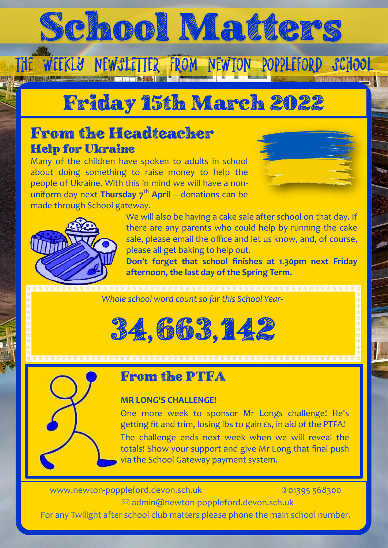# School Matters

The Weekly Newsletter from Newton Poppleford School

## Friday 15th March 2022

### From the Headteacher Help for Ukraine

Many of the children have spoken to adults in school about doing something to raise money to help the people of Ukraine. With this in mind we will have a nonuniform day next **Thursday 7th April** – donations can be made through School gateway.





We will also be having a cake sale after school on that day. If there are any parents who could help by running the cake sale, please email the office and let us know, and, of course, please all get baking to help out.

**Don't forget that school finishes at 1.30pm next Friday afternoon, the last day of the Spring Term.**

*Whole school word count so far this School Year*-





### From the PTFA

#### **MR LONG'S CHALLENGE!**

One more week to sponsor Mr Longs challenge! He's getting fit and trim, losing lbs to gain £s, in aid of the PTFA! The challenge ends next week when we will reveal the totals! Show your support and give Mr Long that final push via the School Gateway payment system.

www.newton-poppleford.devon.sch.uk 001395 568300

admin@newton-poppleford.devon.sch.uk

For any Twilight after school club matters please phone the main school number.

School Matters - January 2018 Page 1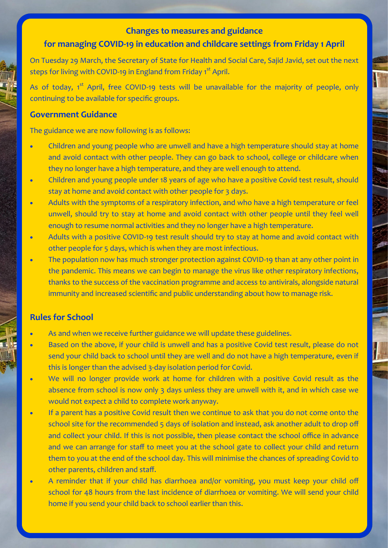#### **Changes to measures and guidance**

#### **for managing COVID-19 in education and childcare settings from Friday 1 April**

On Tuesday 29 March, the Secretary of State for Health and Social Care, Sajid Javid, set out the next steps for living with COVID-19 in England from Friday 1<sup>st</sup> April.

As of today, 1<sup>st</sup> April, free COVID-19 tests will be unavailable for the majority of people, only continuing to be available for specific groups.

#### **Government Guidance**

The guidance we are now following is as follows:

- Children and young people who are unwell and have a high temperature should stay at home and avoid contact with other people. They can go back to school, college or childcare when they no longer have a high temperature, and they are well enough to attend.
- Children and young people under 18 years of age who have a positive Covid test result, should stay at home and avoid contact with other people for 3 days.
- Adults with the symptoms of a respiratory infection, and who have a high temperature or feel unwell, should try to stay at home and avoid contact with other people until they feel well enough to resume normal activities and they no longer have a high temperature.
- Adults with a positive COVID-19 test result should try to stay at home and avoid contact with other people for 5 days, which is when they are most infectious.
- The population now has much stronger protection against COVID-19 than at any other point in the pandemic. This means we can begin to manage the virus like other respiratory infections, thanks to the success of the vaccination programme and access to antivirals, alongside natural immunity and increased scientific and public understanding about how to manage risk.

#### **Rules for School**

- As and when we receive further guidance we will update these guidelines.
- Based on the above, if your child is unwell and has a positive Covid test result, please do not send your child back to school until they are well and do not have a high temperature, even if this is longer than the advised 3-day isolation period for Covid.
- We will no longer provide work at home for children with a positive Covid result as the absence from school is now only 3 days unless they are unwell with it, and in which case we would not expect a child to complete work anyway.
- If a parent has a positive Covid result then we continue to ask that you do not come onto the school site for the recommended 5 days of isolation and instead, ask another adult to drop off and collect your child. If this is not possible, then please contact the school office in advance and we can arrange for staff to meet you at the school gate to collect your child and return them to you at the end of the school day. This will minimise the chances of spreading Covid to other parents, children and staff.
- A reminder that if your child has diarrhoea and/or vomiting, you must keep your child off school for 48 hours from the last incidence of diarrhoea or vomiting. We will send your child home if you send your child back to school earlier than this.

School Matters - January 2018 Page 2018 Page 2018 Page 2018 Page 2018 Page 2018 Page 2018 Page 2018 Page 2018<br>Page 2018 Page 2018 Page 2018 Page 2018 Page 2018 Page 2018 Page 2018 Page 2018 Page 2018 Page 2018 Page 2018